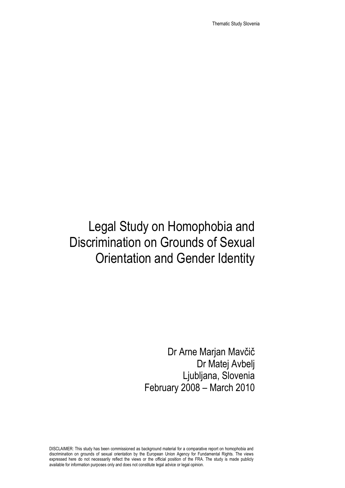Thematic Study Slovenia

# Legal Study on Homophobia and Discrimination on Grounds of Sexual Orientation and Gender Identity

Dr Arne Marjan Mavčič Dr Matej Avbelj Ljubljana, Slovenia February 2008 – March 2010

DISCLAIMER: This study has been commissioned as background material for a comparative report on homophobia and discrimination on grounds of sexual orientation by the European Union Agency for Fundamental Rights. The views expressed here do not necessarily reflect the views or the official position of the FRA. The study is made publicly available for information purposes only and does not constitute legal advice or legal opinion.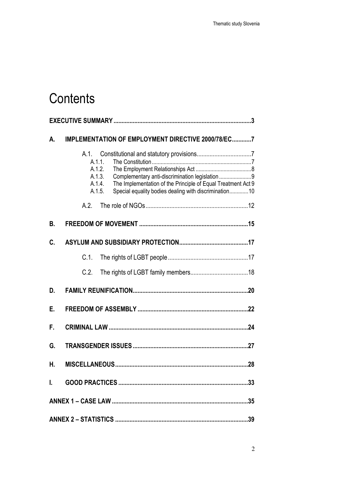# **Contents**

| А. | IMPLEMENTATION OF EMPLOYMENT DIRECTIVE 2000/78/EC7                                                                                                                                                                                 |  |
|----|------------------------------------------------------------------------------------------------------------------------------------------------------------------------------------------------------------------------------------|--|
|    | A.1.<br>A.1.1.<br>A.1.2.<br>A.1.3.<br>Complementary anti-discrimination legislation 9<br>The Implementation of the Principle of Equal Treatment Act 9<br>A.1.4.<br>Special equality bodies dealing with discrimination10<br>A.1.5. |  |
|    | A.2.                                                                                                                                                                                                                               |  |
| В. |                                                                                                                                                                                                                                    |  |
| C. |                                                                                                                                                                                                                                    |  |
|    | $C.1$ .                                                                                                                                                                                                                            |  |
|    | C.2.                                                                                                                                                                                                                               |  |
| D. |                                                                                                                                                                                                                                    |  |
| Е. |                                                                                                                                                                                                                                    |  |
| F. |                                                                                                                                                                                                                                    |  |
| G. |                                                                                                                                                                                                                                    |  |
| Н. |                                                                                                                                                                                                                                    |  |
| I. |                                                                                                                                                                                                                                    |  |
|    |                                                                                                                                                                                                                                    |  |
|    |                                                                                                                                                                                                                                    |  |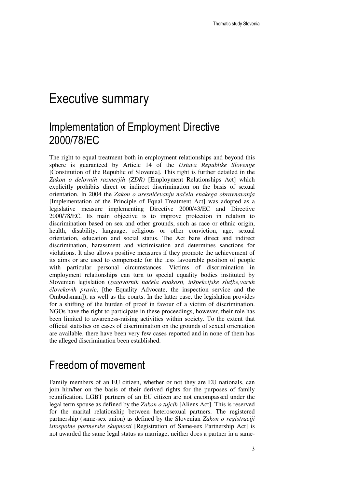### Executive summary

### Implementation of Employment Directive 2000/78/EC

The right to equal treatment both in employment relationships and beyond this sphere is guaranteed by Article 14 of the *Ustava Republike Slovenije* [Constitution of the Republic of Slovenia]. This right is further detailed in the *Zakon o delovnih razmerjih (ZDR)* [Employment Relationships Act] which explicitly prohibits direct or indirect discrimination on the basis of sexual orientation. In 2004 the *Zakon o uresni*č*evanju na*č*ela enakega obravnavanja*  [Implementation of the Principle of Equal Treatment Act] was adopted as a legislative measure implementing Directive 2000/43/EC and Directive 2000/78/EC. Its main objective is to improve protection in relation to discrimination based on sex and other grounds, such as race or ethnic origin, health, disability, language, religious or other conviction, age, sexual orientation, education and social status. The Act bans direct and indirect discrimination, harassment and victimisation and determines sanctions for violations. It also allows positive measures if they promote the achievement of its aims or are used to compensate for the less favourable position of people with particular personal circumstances. Victims of discrimination in employment relationships can turn to special equality bodies instituted by Slovenian legislation (*zagovornik na*č*ela enakosti, inšpekcijske službe,varuh*  č*lovekovih pravic*, [the Equality Advocate, the inspection service and the Ombudsman]), as well as the courts. In the latter case, the legislation provides for a shifting of the burden of proof in favour of a victim of discrimination. NGOs have the right to participate in these proceedings, however, their role has been limited to awareness-raising activities within society. To the extent that official statistics on cases of discrimination on the grounds of sexual orientation are available, there have been very few cases reported and in none of them has the alleged discrimination been established.

#### Freedom of movement

Family members of an EU citizen, whether or not they are EU nationals, can join him/her on the basis of their derived rights for the purposes of family reunification. LGBT partners of an EU citizen are not encompassed under the legal term spouse as defined by the *Zakon o tujcih* [Aliens Act]. This is reserved for the marital relationship between heterosexual partners. The registered partnership (same-sex union) as defined by the Slovenian *Zakon o registraciji istospolne partnerske skupnosti* [Registration of Same-sex Partnership Act] is not awarded the same legal status as marriage, neither does a partner in a same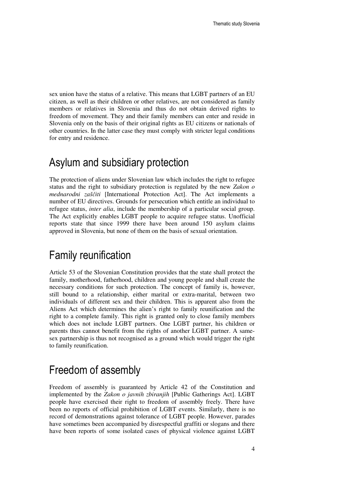sex union have the status of a relative. This means that LGBT partners of an EU citizen, as well as their children or other relatives, are not considered as family members or relatives in Slovenia and thus do not obtain derived rights to freedom of movement. They and their family members can enter and reside in Slovenia only on the basis of their original rights as EU citizens or nationals of other countries. In the latter case they must comply with stricter legal conditions for entry and residence.

#### Asylum and subsidiary protection

The protection of aliens under Slovenian law which includes the right to refugee status and the right to subsidiary protection is regulated by the new *Zakon o mednarodni zaš*č*iti* [International Protection Act]. The Act implements a number of EU directives. Grounds for persecution which entitle an individual to refugee status, *inter alia*, include the membership of a particular social group. The Act explicitly enables LGBT people to acquire refugee status. Unofficial reports state that since 1999 there have been around 150 asylum claims approved in Slovenia, but none of them on the basis of sexual orientation.

#### Family reunification

Article 53 of the Slovenian Constitution provides that the state shall protect the family, motherhood, fatherhood, children and young people and shall create the necessary conditions for such protection. The concept of family is, however, still bound to a relationship, either marital or extra-marital, between two individuals of different sex and their children. This is apparent also from the Aliens Act which determines the alien's right to family reunification and the right to a complete family. This right is granted only to close family members which does not include LGBT partners. One LGBT partner, his children or parents thus cannot benefit from the rights of another LGBT partner. A samesex partnership is thus not recognised as a ground which would trigger the right to family reunification.

### Freedom of assembly

Freedom of assembly is guaranteed by Article 42 of the Constitution and implemented by the *Zakon o javnih zbiranjih* [Public Gatherings Act]. LGBT people have exercised their right to freedom of assembly freely. There have been no reports of official prohibition of LGBT events. Similarly, there is no record of demonstrations against tolerance of LGBT people. However, parades have sometimes been accompanied by disrespectful graffiti or slogans and there have been reports of some isolated cases of physical violence against LGBT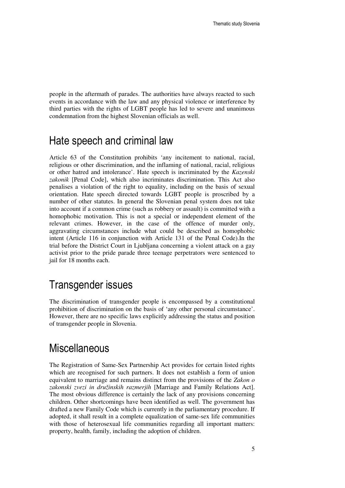people in the aftermath of parades. The authorities have always reacted to such events in accordance with the law and any physical violence or interference by third parties with the rights of LGBT people has led to severe and unanimous condemnation from the highest Slovenian officials as well.

#### Hate speech and criminal law

Article 63 of the Constitution prohibits 'any incitement to national, racial, religious or other discrimination, and the inflaming of national, racial, religious or other hatred and intolerance'. Hate speech is incriminated by the *Kazenski zakonik* [Penal Code], which also incriminates discrimination. This Act also penalises a violation of the right to equality, including on the basis of sexual orientation. Hate speech directed towards LGBT people is proscribed by a number of other statutes. In general the Slovenian penal system does not take into account if a common crime (such as robbery or assault) is committed with a homophobic motivation. This is not a special or independent element of the relevant crimes. However, in the case of the offence of murder only, aggravating circumstances include what could be described as homophobic intent (Article 116 in conjunction with Article 131 of the Penal Code).In the trial before the District Court in Ljubljana concerning a violent attack on a gay activist prior to the pride parade three teenage perpetrators were sentenced to jail for 18 months each.

### Transgender issues

The discrimination of transgender people is encompassed by a constitutional prohibition of discrimination on the basis of 'any other personal circumstance'. However, there are no specific laws explicitly addressing the status and position of transgender people in Slovenia.

#### **Miscellaneous**

The Registration of Same-Sex Partnership Act provides for certain listed rights which are recognised for such partners. It does not establish a form of union equivalent to marriage and remains distinct from the provisions of the *Zakon o zakonski zvezi in družinskih razmerjih* [Marriage and Family Relations Act]. The most obvious difference is certainly the lack of any provisions concerning children. Other shortcomings have been identified as well. The government has drafted a new Family Code which is currently in the parliamentary procedure. If adopted, it shall result in a complete equalization of same-sex life communities with those of heterosexual life communities regarding all important matters: property, health, family, including the adoption of children.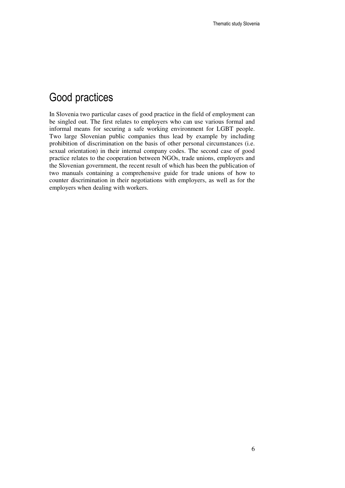### Good practices

In Slovenia two particular cases of good practice in the field of employment can be singled out. The first relates to employers who can use various formal and informal means for securing a safe working environment for LGBT people. Two large Slovenian public companies thus lead by example by including prohibition of discrimination on the basis of other personal circumstances (i.e. sexual orientation) in their internal company codes. The second case of good practice relates to the cooperation between NGOs, trade unions, employers and the Slovenian government, the recent result of which has been the publication of two manuals containing a comprehensive guide for trade unions of how to counter discrimination in their negotiations with employers, as well as for the employers when dealing with workers.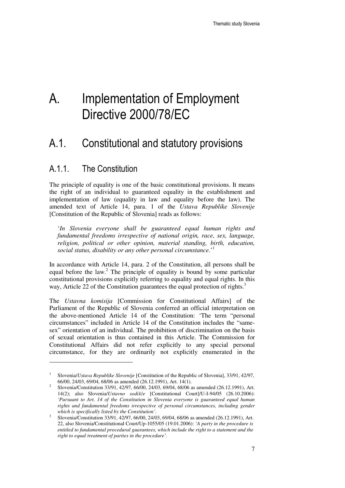# A. Implementation of Employment Directive 2000/78/EC

### A.1. Constitutional and statutory provisions

#### A.1.1. The Constitution

 $\overline{a}$ 

The principle of equality is one of the basic constitutional provisions. It means the right of an individual to guaranteed equality in the establishment and implementation of law (equality in law and equality before the law). The amended text of Article 14, para. 1 of the *Ustava Republike Slovenije* [Constitution of the Republic of Slovenia] reads as follows:

'*In Slovenia everyone shall be guaranteed equal human rights and fundamental freedoms irrespective of national origin, race, sex, language, religion, political or other opinion, material standing, birth, education, social status, disability or any other personal circumstance.*' 1

In accordance with Article 14, para. 2 of the Constitution, all persons shall be equal before the law.<sup>2</sup> The principle of equality is bound by some particular constitutional provisions explicitly referring to equality and equal rights. In this way, Article 22 of the Constitution guarantees the equal protection of rights. $3$ 

The *Ustavna komisija* [Commission for Constitutional Affairs] of the Parliament of the Republic of Slovenia conferred an official interpretation on the above-mentioned Article 14 of the Constitution: 'The term "personal circumstances" included in Article 14 of the Constitution includes the "samesex" orientation of an individual. The prohibition of discrimination on the basis of sexual orientation is thus contained in this Article. The Commission for Constitutional Affairs did not refer explicitly to any special personal circumstance, for they are ordinarily not explicitly enumerated in the

<sup>1</sup> Slovenia/*Ustava Republike Slovenije* [Constitution of the Republic of Slovenia], 33/91, 42/97, 66/00, 24/03, 69/04, 68/06 as amended (26.12.1991), Art. 14(1).

<sup>2</sup> Slovenia/Constitution 33/91, 42/97, 66/00, 24/03, 69/04, 68/06 as amended (26.12.1991), Art. 14(2); also Slovenia/*Ustavno sodiš*č*e* [Constitutional Court]/U-I-94/05 (26.10.2006): *'Pursuant to Art. 14 of the Constitution in Slovenia everyone is guaranteed equal human rights and fundamental freedoms irrespective of personal circumstances, including gender which is specifically listed by the Constitution'*.

<sup>3</sup> Slovenia/Constitution 33/91, 42/97, 66/00, 24/03, 69/04, 68/06 as amended (26.12.1991), Art. 22, also Slovenia/Constitutional Court/Up-1055/05 (19.01.2006): *'A party in the procedure is entitled to fundamental procedural guarantees, which include the right to a statement and the right to equal treatment of parties in the procedure'.*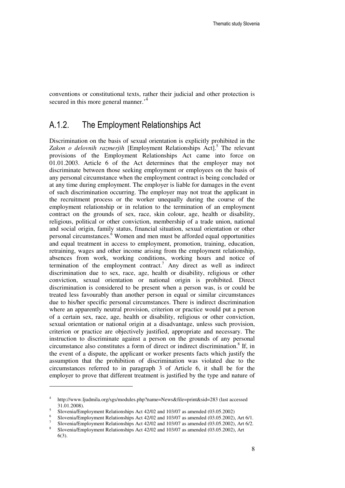conventions or constitutional texts, rather their judicial and other protection is secured in this more general manner.<sup>4</sup>

#### A.1.2. The Employment Relationships Act

Discrimination on the basis of sexual orientation is explicitly prohibited in the Zakon o delovnih razmerjih [Employment Relationships Act].<sup>5</sup> The relevant provisions of the Employment Relationships Act came into force on 01.01.2003. Article 6 of the Act determines that the employer may not discriminate between those seeking employment or employees on the basis of any personal circumstance when the employment contract is being concluded or at any time during employment. The employer is liable for damages in the event of such discrimination occurring. The employer may not treat the applicant in the recruitment process or the worker unequally during the course of the employment relationship or in relation to the termination of an employment contract on the grounds of sex, race, skin colour, age, health or disability, religious, political or other conviction, membership of a trade union, national and social origin, family status, financial situation, sexual orientation or other personal circumstances.<sup>6</sup> Women and men must be afforded equal opportunities and equal treatment in access to employment, promotion, training, education, retraining, wages and other income arising from the employment relationship, absences from work, working conditions, working hours and notice of termination of the employment contract.<sup>7</sup> Any direct as well as indirect discrimination due to sex, race, age, health or disability, religious or other conviction, sexual orientation or national origin is prohibited. Direct discrimination is considered to be present when a person was, is or could be treated less favourably than another person in equal or similar circumstances due to his/her specific personal circumstances. There is indirect discrimination where an apparently neutral provision, criterion or practice would put a person of a certain sex, race, age, health or disability, religious or other conviction, sexual orientation or national origin at a disadvantage, unless such provision, criterion or practice are objectively justified, appropriate and necessary. The instruction to discriminate against a person on the grounds of any personal circumstance also constitutes a form of direct or indirect discrimination.<sup>8</sup> If, in the event of a dispute, the applicant or worker presents facts which justify the assumption that the prohibition of discrimination was violated due to the circumstances referred to in paragraph 3 of Article 6, it shall be for the employer to prove that different treatment is justified by the type and nature of

<sup>4</sup> http://www.ljudmila.org/sgs/modules.php?name=News&file=print&sid=283 (last accessed 31.01.2008).

<sup>5</sup> Slovenia/Employment Relationships Act 42/02 and 103/07 as amended (03.05.2002)

<sup>6</sup> Slovenia/Employment Relationships Act 42/02 and 103/07 as amended (03.05.2002), Art 6/1.

<sup>7</sup> Slovenia/Employment Relationships Act 42/02 and 103/07 as amended (03.05.2002), Art 6/2.

<sup>8</sup> Slovenia/Employment Relationships Act 42/02 and 103/07 as amended (03.05.2002), Art 6(3).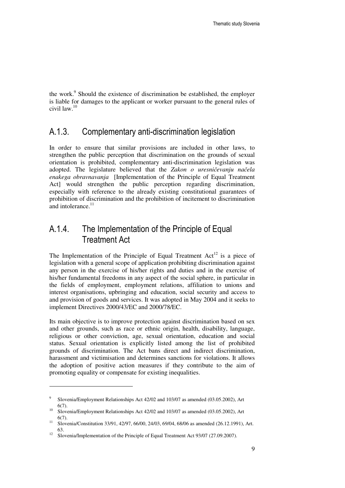the work.<sup>9</sup> Should the existence of discrimination be established, the employer is liable for damages to the applicant or worker pursuant to the general rules of civil law.<sup>10</sup>

#### A.1.3. Complementary anti-discrimination legislation

In order to ensure that similar provisions are included in other laws, to strengthen the public perception that discrimination on the grounds of sexual orientation is prohibited, complementary anti-discrimination legislation was adopted. The legislature believed that the *Zakon o uresni*č*evanju na*č*ela enakega obravnavanja* [Implementation of the Principle of Equal Treatment Act] would strengthen the public perception regarding discrimination, especially with reference to the already existing constitutional guarantees of prohibition of discrimination and the prohibition of incitement to discrimination and intolerance. $11$ 

#### A.1.4. The Implementation of the Principle of Equal Treatment Act

The Implementation of the Principle of Equal Treatment  $Act^{12}$  is a piece of legislation with a general scope of application prohibiting discrimination against any person in the exercise of his/her rights and duties and in the exercise of his/her fundamental freedoms in any aspect of the social sphere, in particular in the fields of employment, employment relations, affiliation to unions and interest organisations, upbringing and education, social security and access to and provision of goods and services. It was adopted in May 2004 and it seeks to implement Directives 2000/43/EC and 2000/78/EC.

Its main objective is to improve protection against discrimination based on sex and other grounds, such as race or ethnic origin, health, disability, language, religious or other conviction, age, sexual orientation, education and social status. Sexual orientation is explicitly listed among the list of prohibited grounds of discrimination. The Act bans direct and indirect discrimination, harassment and victimisation and determines sanctions for violations. It allows the adoption of positive action measures if they contribute to the aim of promoting equality or compensate for existing inequalities.

 $\overline{9}$  Slovenia/Employment Relationships Act 42/02 and 103/07 as amended (03.05.2002), Art 6(7).

 $10\quad$  Slovenia/Employment Relationships Act 42/02 and 103/07 as amended (03.05.2002), Art 6(7).

<sup>&</sup>lt;sup>11</sup> Slovenia/Constitution 33/91, 42/97, 66/00, 24/03, 69/04, 68/06 as amended (26.12.1991), Art. 63.

<sup>&</sup>lt;sup>12</sup> Slovenia/Implementation of the Principle of Equal Treatment Act 93/07 (27.09.2007).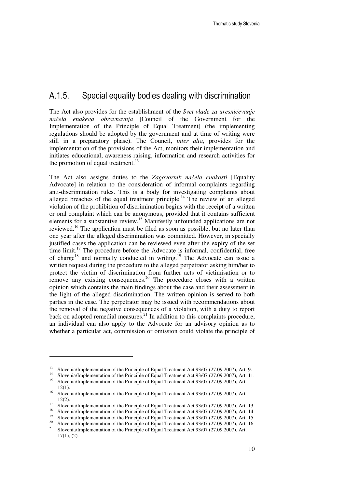#### A.1.5. Special equality bodies dealing with discrimination

The Act also provides for the establishment of the *Svet vlade za uresni*č*evanje na*č*ela enakega obravnavnja* [Council of the Government for the Implementation of the Principle of Equal Treatment] (the implementing regulations should be adopted by the government and at time of writing were still in a preparatory phase). The Council, *inter alia*, provides for the implementation of the provisions of the Act, monitors their implementation and initiates educational, awareness-raising, information and research activities for the promotion of equal treatment. $^{13}$ 

The Act also assigns duties to the *Zagovornik na*č*ela enakosti* [Equality Advocate] in relation to the consideration of informal complaints regarding anti-discrimination rules. This is a body for investigating complaints about alleged breaches of the equal treatment principle.<sup>14</sup> The review of an alleged violation of the prohibition of discrimination begins with the receipt of a written or oral complaint which can be anonymous, provided that it contains sufficient elements for a substantive review.<sup>15</sup> Manifestly unfounded applications are not reviewed.<sup>16</sup> The application must be filed as soon as possible, but no later than one year after the alleged discrimination was committed. However, in specially justified cases the application can be reviewed even after the expiry of the set time  $\text{limit.}^{17}$  The procedure before the Advocate is informal, confidential, free of charge<sup>18</sup> and normally conducted in writing.<sup>19</sup> The Advocate can issue a written request during the procedure to the alleged perpetrator asking him/her to protect the victim of discrimination from further acts of victimisation or to remove any existing consequences.<sup>20</sup> The procedure closes with a written opinion which contains the main findings about the case and their assessment in the light of the alleged discrimination. The written opinion is served to both parties in the case. The perpetrator may be issued with recommendations about the removal of the negative consequences of a violation, with a duty to report back on adopted remedial measures.<sup>21</sup> In addition to this complaints procedure, an individual can also apply to the Advocate for an advisory opinion as to whether a particular act, commission or omission could violate the principle of

<sup>&</sup>lt;sup>13</sup> Slovenia/Implementation of the Principle of Equal Treatment Act  $93/07$  (27.09.2007), Art. 9.<br><sup>14</sup> Slovenia/Implementation of the Driveight of Faugh Treatment Act 02/07 (27.09.2007), Art. 11

<sup>&</sup>lt;sup>14</sup> Slovenia/Implementation of the Principle of Equal Treatment Act 93/07 (27.09.2007), Art. 11.<br><sup>15</sup> Slovenia/Implementation of the Principle of Equal Treatment Act 93/07 (27.09.2007), Art.

<sup>15</sup> Slovenia/Implementation of the Principle of Equal Treatment Act 93/07 (27.09.2007), Art. 12(1).

<sup>&</sup>lt;sup>16</sup> Slovenia/Implementation of the Principle of Equal Treatment Act 93/07 (27.09.2007), Art. 12(2).

<sup>&</sup>lt;sup>17</sup> Slovenia/Implementation of the Principle of Equal Treatment Act 93/07 (27.09.2007), Art. 13.<br><sup>18</sup> Slovenia/Implementation of the Dringiple of Equal Treatment Act 92/07 (27.09.2007), Art. 14.

<sup>&</sup>lt;sup>18</sup> Slovenia/Implementation of the Principle of Equal Treatment Act 93/07 (27.09.2007), Art. 14.<br><sup>19</sup> Slovenia/Implementation of the Dringiple of Equal Treatment Act 93/07 (27.09.2007), Art. 15.

<sup>&</sup>lt;sup>19</sup> Slovenia/Implementation of the Principle of Equal Treatment Act 93/07 (27.09.2007), Art. 15.

<sup>&</sup>lt;sup>20</sup> Slovenia/Implementation of the Principle of Equal Treatment Act 93/07 (27.09.2007), Art. 16. <sup>21</sup> Slovenia/Implementation of the Principle of Equal Treatment Act 93/07 (27.09.2007), Art.  $17(1)$ ,  $(2)$ .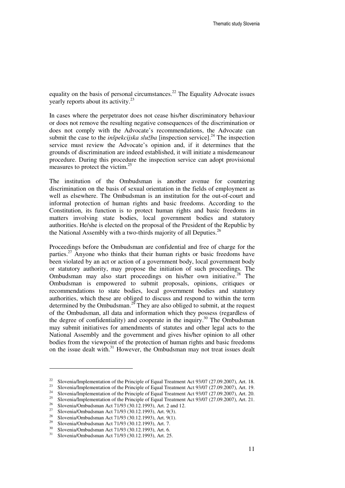equality on the basis of personal circumstances.<sup>22</sup> The Equality Advocate issues yearly reports about its activity.<sup>23</sup>

In cases where the perpetrator does not cease his/her discriminatory behaviour or does not remove the resulting negative consequences of the discrimination or does not comply with the Advocate's recommendations, the Advocate can submit the case to the *inšpekcijska služba* [inspection service].<sup>24</sup> The inspection service must review the Advocate's opinion and, if it determines that the grounds of discrimination are indeed established, it will initiate a misdemeanour procedure. During this procedure the inspection service can adopt provisional measures to protect the victim.<sup>25</sup>

The institution of the Ombudsman is another avenue for countering discrimination on the basis of sexual orientation in the fields of employment as well as elsewhere. The Ombudsman is an institution for the out-of-court and informal protection of human rights and basic freedoms. According to the Constitution, its function is to protect human rights and basic freedoms in matters involving state bodies, local government bodies and statutory authorities. He/she is elected on the proposal of the President of the Republic by the National Assembly with a two-thirds majority of all Deputies.<sup>26</sup>

Proceedings before the Ombudsman are confidential and free of charge for the parties.<sup>27</sup> Anyone who thinks that their human rights or basic freedoms have been violated by an act or action of a government body, local government body or statutory authority, may propose the initiation of such proceedings. The Ombudsman may also start proceedings on his/her own initiative.<sup>28</sup> The Ombudsman is empowered to submit proposals, opinions, critiques or recommendations to state bodies, local government bodies and statutory authorities, which these are obliged to discuss and respond to within the term determined by the Ombudsman.<sup>29</sup> They are also obliged to submit, at the request of the Ombudsman, all data and information which they possess (regardless of the degree of confidentiality) and cooperate in the inquiry.<sup>30</sup> The Ombudsman may submit initiatives for amendments of statutes and other legal acts to the National Assembly and the government and gives his/her opinion to all other bodies from the viewpoint of the protection of human rights and basic freedoms on the issue dealt with.<sup>31</sup> However, the Ombudsman may not treat issues dealt

<sup>&</sup>lt;sup>22</sup> Slovenia/Implementation of the Principle of Equal Treatment Act 93/07 (27.09.2007), Art. 18.

<sup>23</sup> Slovenia/Implementation of the Principle of Equal Treatment Act 93/07 (27.09.2007), Art. 19.

<sup>&</sup>lt;sup>24</sup> Slovenia/Implementation of the Principle of Equal Treatment Act 93/07 (27.09.2007), Art. 20.

<sup>&</sup>lt;sup>25</sup> Slovenia/Implementation of the Principle of Equal Treatment Act 93/07 (27.09.2007), Art. 21.

<sup>&</sup>lt;sup>26</sup> Slovenia/Ombudsman Act 71/93 (30.12.1993), Art. 2 and 12.<br><sup>27</sup> Slovenia/Ombudsman Act 71/92 (20.12.1993), Art. 0(2)

<sup>&</sup>lt;sup>27</sup> Slovenia/Ombudsman Act 71/93 (30.12.1993), Art. 9(3).<br><sup>28</sup> Slovenia/Ombudsman Act 71/03 (20.12.1993), Art. 9(1).

<sup>&</sup>lt;sup>28</sup> Slovenia/Ombudsman Act 71/93 (30.12.1993), Art. 9(1).

<sup>&</sup>lt;sup>29</sup> Slovenia/Ombudsman Act 71/93 (30.12.1993), Art. 7.<br><sup>30</sup> Slovenia/Ombudsman Act 71/93 (20.13.1993), Act 6

<sup>&</sup>lt;sup>30</sup> Slovenia/Ombudsman Act 71/93 (30.12.1993), Art. 6.<br><sup>31</sup> Slovenia/Ombudsman Act 71/92 (20.13.1993), Art. 25

<sup>31</sup> Slovenia/Ombudsman Act 71/93 (30.12.1993), Art. 25.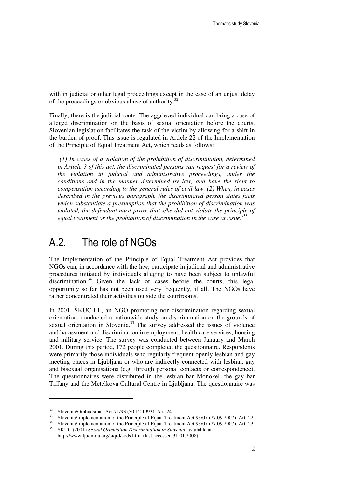with in judicial or other legal proceedings except in the case of an unjust delay of the proceedings or obvious abuse of authority.<sup>32</sup>

Finally, there is the judicial route. The aggrieved individual can bring a case of alleged discrimination on the basis of sexual orientation before the courts. Slovenian legislation facilitates the task of the victim by allowing for a shift in the burden of proof. This issue is regulated in Article 22 of the Implementation of the Principle of Equal Treatment Act, which reads as follows:

*'(1) In cases of a violation of the prohibition of discrimination, determined in Article 3 of this act, the discriminated persons can request for a review of the violation in judicial and administrative proceedings, under the conditions and in the manner determined by law, and have the right to compensation according to the general rules of civil law. (2) When, in cases described in the previous paragraph, the discriminated person states facts which substantiate a presumption that the prohibition of discrimination was violated, the defendant must prove that s/he did not violate the principle of equal treatment or the prohibition of discrimination in the case at issue*.'<sup>33</sup>

### A.2. The role of NGOs

The Implementation of the Principle of Equal Treatment Act provides that NGOs can, in accordance with the law, participate in judicial and administrative procedures initiated by individuals alleging to have been subject to unlawful discrimination.<sup>34</sup> Given the lack of cases before the courts, this legal opportunity so far has not been used very frequently, if all. The NGOs have rather concentrated their activities outside the courtrooms.

In 2001, ŠKUC-LL, an NGO promoting non-discrimination regarding sexual orientation, conducted a nationwide study on discrimination on the grounds of sexual orientation in Slovenia.<sup>35</sup> The survey addressed the issues of violence and harassment and discrimination in employment, health care services, housing and military service. The survey was conducted between January and March 2001. During this period, 172 people completed the questionnaire. Respondents were primarily those individuals who regularly frequent openly lesbian and gay meeting places in Ljubljana or who are indirectly connected with lesbian, gay and bisexual organisations (e.g. through personal contacts or correspondence). The questionnaires were distributed in the lesbian bar Monokel, the gay bar Tiffany and the Metelkova Cultural Centre in Ljubljana. The questionnaire was

<sup>&</sup>lt;sup>32</sup> Slovenia/Ombudsman Act 71/93 (30.12.1993), Art. 24.<br><sup>33</sup> Slovenia/Implementation of the Principle of Equal Traq

<sup>&</sup>lt;sup>33</sup> Slovenia/Implementation of the Principle of Equal Treatment Act 93/07 (27.09.2007), Art. 22.

<sup>&</sup>lt;sup>34</sup> Slovenia/Implementation of the Principle of Equal Treatment Act 93/07 (27.09.2007), Art. 23. <sup>35</sup> ŠKUC (2001) *Sexual Orientation Discrimination in Slovenia*, available at

http://www.ljudmila.org/siqrd/sods.html (last accessed 31.01.2008).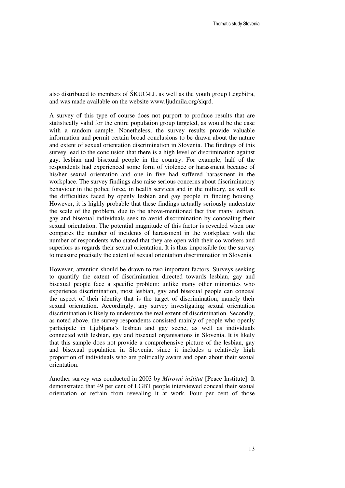also distributed to members of ŠKUC-LL as well as the youth group Legebitra, and was made available on the website www.ljudmila.org/siqrd.

A survey of this type of course does not purport to produce results that are statistically valid for the entire population group targeted, as would be the case with a random sample. Nonetheless, the survey results provide valuable information and permit certain broad conclusions to be drawn about the nature and extent of sexual orientation discrimination in Slovenia. The findings of this survey lead to the conclusion that there is a high level of discrimination against gay, lesbian and bisexual people in the country. For example, half of the respondents had experienced some form of violence or harassment because of his/her sexual orientation and one in five had suffered harassment in the workplace. The survey findings also raise serious concerns about discriminatory behaviour in the police force, in health services and in the military, as well as the difficulties faced by openly lesbian and gay people in finding housing. However, it is highly probable that these findings actually seriously understate the scale of the problem, due to the above-mentioned fact that many lesbian, gay and bisexual individuals seek to avoid discrimination by concealing their sexual orientation. The potential magnitude of this factor is revealed when one compares the number of incidents of harassment in the workplace with the number of respondents who stated that they are open with their co-workers and superiors as regards their sexual orientation. It is thus impossible for the survey to measure precisely the extent of sexual orientation discrimination in Slovenia.

However, attention should be drawn to two important factors. Surveys seeking to quantify the extent of discrimination directed towards lesbian, gay and bisexual people face a specific problem: unlike many other minorities who experience discrimination, most lesbian, gay and bisexual people can conceal the aspect of their identity that is the target of discrimination, namely their sexual orientation. Accordingly, any survey investigating sexual orientation discrimination is likely to understate the real extent of discrimination. Secondly, as noted above, the survey respondents consisted mainly of people who openly participate in Ljubljana's lesbian and gay scene, as well as individuals connected with lesbian, gay and bisexual organisations in Slovenia. It is likely that this sample does not provide a comprehensive picture of the lesbian, gay and bisexual population in Slovenia, since it includes a relatively high proportion of individuals who are politically aware and open about their sexual orientation.

Another survey was conducted in 2003 by *Mirovni inštitut* [Peace Institute]. It demonstrated that 49 per cent of LGBT people interviewed conceal their sexual orientation or refrain from revealing it at work. Four per cent of those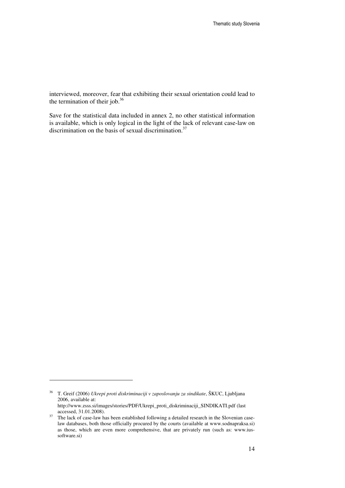interviewed, moreover, fear that exhibiting their sexual orientation could lead to the termination of their job. $36$ 

Save for the statistical data included in annex 2, no other statistical information is available, which is only logical in the light of the lack of relevant case-law on discrimination on the basis of sexual discrimination. $37$ 

<sup>36</sup> T. Greif (2006) *Ukrepi proti diskriminaciji v zaposlovanju za sindikate*, ŠKUC, Ljubljana 2006, available at:

http://www.zsss.si/images/stories/PDF/Ukrepi\_proti\_diskriminaciji\_SINDIKATI.pdf (last accessed, 31.01.2008).

<sup>&</sup>lt;sup>37</sup> The lack of case-law has been established following a detailed research in the Slovenian caselaw databases, both those officially procured by the courts (available at www.sodnapraksa.si) as those, which are even more comprehensive, that are privately run (such as: www.iussoftware.si)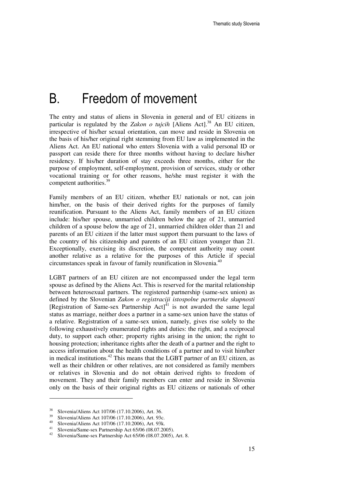### B. Freedom of movement

The entry and status of aliens in Slovenia in general and of EU citizens in particular is regulated by the *Zakon o tujcih* [Aliens Act].<sup>38</sup> An EU citizen, irrespective of his/her sexual orientation, can move and reside in Slovenia on the basis of his/her original right stemming from EU law as implemented in the Aliens Act. An EU national who enters Slovenia with a valid personal ID or passport can reside there for three months without having to declare his/her residency. If his/her duration of stay exceeds three months, either for the purpose of employment, self-employment, provision of services, study or other vocational training or for other reasons, he/she must register it with the competent authorities.<sup>39</sup>

Family members of an EU citizen, whether EU nationals or not, can join him/her, on the basis of their derived rights for the purposes of family reunification. Pursuant to the Aliens Act, family members of an EU citizen include: his/her spouse, unmarried children below the age of 21, unmarried children of a spouse below the age of 21, unmarried children older than 21 and parents of an EU citizen if the latter must support them pursuant to the laws of the country of his citizenship and parents of an EU citizen younger than 21. Exceptionally, exercising its discretion, the competent authority may count another relative as a relative for the purposes of this Article if special circumstances speak in favour of family reunification in Slovenia.<sup>40</sup>

LGBT partners of an EU citizen are not encompassed under the legal term spouse as defined by the Aliens Act. This is reserved for the marital relationship between heterosexual partners. The registered partnership (same-sex union) as defined by the Slovenian *Zakon o registraciji istospolne partnerske skupnosti* [Registration of Same-sex Partnership  $Act$ ]<sup>41</sup> is not awarded the same legal status as marriage, neither does a partner in a same-sex union have the status of a relative. Registration of a same-sex union, namely, gives rise solely to the following exhaustively enumerated rights and duties: the right, and a reciprocal duty, to support each other; property rights arising in the union; the right to housing protection; inheritance rights after the death of a partner and the right to access information about the health conditions of a partner and to visit him/her in medical institutions.<sup>42</sup> This means that the LGBT partner of an EU citizen, as well as their children or other relatives, are not considered as family members or relatives in Slovenia and do not obtain derived rights to freedom of movement. They and their family members can enter and reside in Slovenia only on the basis of their original rights as EU citizens or nationals of other

<sup>&</sup>lt;sup>38</sup> Slovenia/Aliens Act 107/06 (17.10.2006), Art. 36.<br><sup>39</sup> Slovenia/Aliens Act 107/06 (17.10.2006), Art. 02a

<sup>&</sup>lt;sup>39</sup> Slovenia/Aliens Act 107/06 (17.10.2006), Art. 93c.

<sup>&</sup>lt;sup>40</sup> Slovenia/Aliens Act 107/06 (17.10.2006), Art. 93k.

Slovenia/Same-sex Partnership Act 65/06 (08.07.2005).

<sup>42</sup> Slovenia/Same-sex Partnership Act 65/06 (08.07.2005), Art. 8.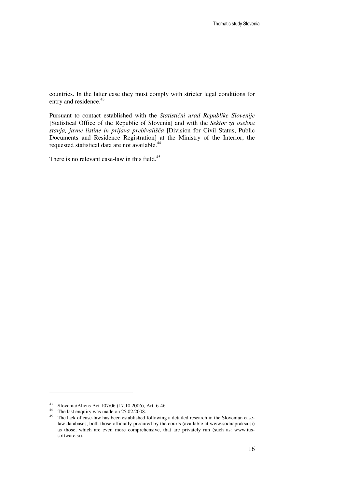countries. In the latter case they must comply with stricter legal conditions for entry and residence.<sup>43</sup>

Pursuant to contact established with the *Statisti*č*ni urad Republike Slovenije* [Statistical Office of the Republic of Slovenia] and with the *Sektor za osebna stanja, javne listine in prijava prebivališ*č*a* [Division for Civil Status, Public Documents and Residence Registration] at the Ministry of the Interior, the requested statistical data are not available.<sup>44</sup>

There is no relevant case-law in this field.<sup>45</sup>

<sup>43</sup> Slovenia/Aliens Act 107/06 (17.10.2006), Art. 6-46.

<sup>&</sup>lt;sup>44</sup> The last enquiry was made on 25.02.2008.

<sup>&</sup>lt;sup>45</sup> The lack of case-law has been established following a detailed research in the Slovenian caselaw databases, both those officially procured by the courts (available at www.sodnapraksa.si) as those, which are even more comprehensive, that are privately run (such as: www.iussoftware.si).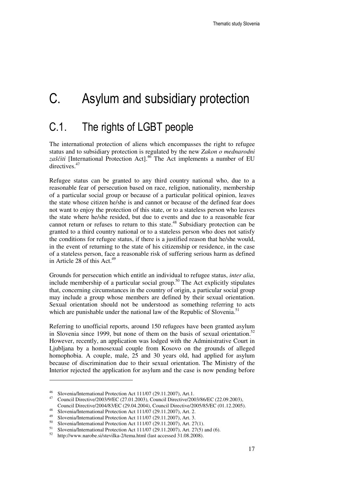# C. Asylum and subsidiary protection

### C.1. The rights of LGBT people

The international protection of aliens which encompasses the right to refugee status and to subsidiary protection is regulated by the new *Zakon o mednarodni zaš*č*iti* [International Protection Act].<sup>46</sup> The Act implements a number of EU directives.<sup>47</sup>

Refugee status can be granted to any third country national who, due to a reasonable fear of persecution based on race, religion, nationality, membership of a particular social group or because of a particular political opinion, leaves the state whose citizen he/she is and cannot or because of the defined fear does not want to enjoy the protection of this state, or to a stateless person who leaves the state where he/she resided, but due to events and due to a reasonable fear cannot return or refuses to return to this state.<sup>48</sup> Subsidiary protection can be granted to a third country national or to a stateless person who does not satisfy the conditions for refugee status, if there is a justified reason that he/she would, in the event of returning to the state of his citizenship or residence, in the case of a stateless person, face a reasonable risk of suffering serious harm as defined in Article 28 of this Act.<sup>49</sup>

Grounds for persecution which entitle an individual to refugee status, *inter alia*, include membership of a particular social group.<sup>50</sup> The Act explicitly stipulates that, concerning circumstances in the country of origin, a particular social group may include a group whose members are defined by their sexual orientation. Sexual orientation should not be understood as something referring to acts which are punishable under the national law of the Republic of Slovenia.<sup>51</sup>

Referring to unofficial reports, around 150 refugees have been granted asylum in Slovenia since 1999, but none of them on the basis of sexual orientation.<sup>52</sup> However, recently, an application was lodged with the Administrative Court in Ljubljana by a homosexual couple from Kosovo on the grounds of alleged homophobia. A couple, male, 25 and 30 years old, had applied for asylum because of discrimination due to their sexual orientation. The Ministry of the Interior rejected the application for asylum and the case is now pending before

<sup>46</sup> Slovenia/International Protection Act 111/07 (29.11.2007), Art.1.

<sup>47</sup> Council Directive/2003/9/EC (27.01.2003), Council Directive/2003/86/EC (22.09.2003), Council Directive/2004/83/EC (29.04.2004), Council Directive/2005/85/EC (01.12.2005).

 $\frac{48}{\text{Slovenial/International Protection Act} 11/07 (29.11.2007), Art. 2.}$ 

<sup>&</sup>lt;sup>49</sup> Slovenia/International Protection Act 111/07 (29.11.2007), Art. 3.

<sup>&</sup>lt;sup>50</sup> Slovenia/International Protection Act 111/07 (29.11.2007), Art. 27(1).

<sup>&</sup>lt;sup>51</sup> Slovenia/International Protection Act 111/07 (29.11.2007), Art. 27(5) and (6).<br><sup>52</sup> http://www.garch.gi/ctxville.2/type html (last assessed 21.08.2008).

<sup>52</sup> http://www.narobe.si/stevilka-2/tema.html (last accessed 31.08.2008).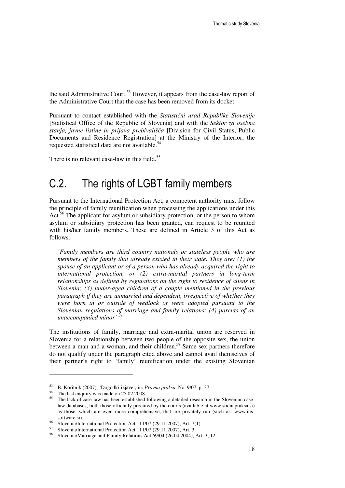the said Administrative Court.<sup>53</sup> However, it appears from the case-law report of the Administrative Court that the case has been removed from its docket.

Pursuant to contact established with the *Statisti*č*ni urad Republike Slovenije* [Statistical Office of the Republic of Slovenia] and with the *Sektor za osebna stanja, javne listine in prijava prebivališ*č*a* [Division for Civil Status, Public Documents and Residence Registration] at the Ministry of the Interior, the requested statistical data are not available.<sup>54</sup>

There is no relevant case-law in this field. $55$ 

### C.2. The rights of LGBT family members

Pursuant to the International Protection Act, a competent authority must follow the principle of family reunification when processing the applications under this Act.<sup>56</sup> The applicant for asylum or subsidiary protection, or the person to whom asylum or subsidiary protection has been granted, can request to be reunited with his/her family members. These are defined in Article 3 of this Act as follows.

*'Family members are third country nationals or stateless people who are members of the family that already existed in their state. They are: (1) the spouse of an applicant or of a person who has already acquired the right to international protection, or (2) extra-marital partners in long-term relationships as defined by regulations on the right to residence of aliens in Slovenia; (3) under-aged children of a couple mentioned in the previous paragraph if they are unmarried and dependent, irrespective of whether they were born in or outside of wedlock or were adopted pursuant to the Slovenian regulations of marriage and family relations; (4) parents of an unaccompanied minor'* 

The institutions of family, marriage and extra-marital union are reserved in Slovenia for a relationship between two people of the opposite sex, the union between a man and a woman, and their children.<sup>58</sup> Same-sex partners therefore do not qualify under the paragraph cited above and cannot avail themselves of their partner's right to 'family' reunification under the existing Slovenian

<sup>53</sup> B. Koritnik (2007), 'Dogodki-izjave', in: *Pravna praksa*, No. 9/07, p. 37.

<sup>54</sup> The last enquiry was made on 25.02.2008.

<sup>55</sup> The lack of case-law has been established following a detailed research in the Slovenian caselaw databases, both those officially procured by the courts (available at www.sodnapraksa.si) as those, which are even more comprehensive, that are privately run (such as: www.iussoftware.si).

<sup>56</sup> Slovenia/International Protection Act 111/07 (29.11.2007), Art. 7(1).

<sup>&</sup>lt;sup>57</sup> Slovenia/International Protection Act 111/07 (29.11.2007), Art. 3.<br><sup>58</sup> Slovenia/Margines and Family Polational at 60/04 (26.04.2004).

<sup>58</sup> Slovenia/Marriage and Family Relations Act 69/04 (26.04.2004), Art. 3, 12.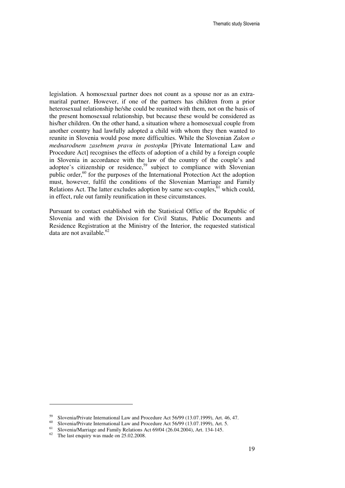legislation. A homosexual partner does not count as a spouse nor as an extramarital partner. However, if one of the partners has children from a prior heterosexual relationship he/she could be reunited with them, not on the basis of the present homosexual relationship, but because these would be considered as his/her children. On the other hand, a situation where a homosexual couple from another country had lawfully adopted a child with whom they then wanted to reunite in Slovenia would pose more difficulties. While the Slovenian *Zakon o mednarodnem zasebnem pravu in postopku* [Private International Law and Procedure Act] recognises the effects of adoption of a child by a foreign couple in Slovenia in accordance with the law of the country of the couple's and adoptee's citizenship or residence,<sup>59</sup> subject to compliance with Slovenian public order,<sup>60</sup> for the purposes of the International Protection Act the adoption must, however, fulfil the conditions of the Slovenian Marriage and Family Relations Act. The latter excludes adoption by same sex-couples,  $61$  which could, in effect, rule out family reunification in these circumstances.

Pursuant to contact established with the Statistical Office of the Republic of Slovenia and with the Division for Civil Status, Public Documents and Residence Registration at the Ministry of the Interior, the requested statistical data are not available.<sup>62</sup>

<sup>&</sup>lt;sup>59</sup> Slovenia/Private International Law and Procedure Act 56/99 (13.07.1999), Art. 46, 47.<br><sup>60</sup> Slovenia/Drivate International Law and Procedure Act 56/00 (13.07.1999), Art. 5.

<sup>&</sup>lt;sup>60</sup> Slovenia/Private International Law and Procedure Act 56/99 (13.07.1999), Art. 5.

<sup>&</sup>lt;sup>61</sup> Slovenia/Marriage and Family Relations Act 69/04 (26.04.2004), Art. 134-145.<br><sup>62</sup> The lest enquiry was made on 25.02.2008.

The last enquiry was made on 25.02.2008.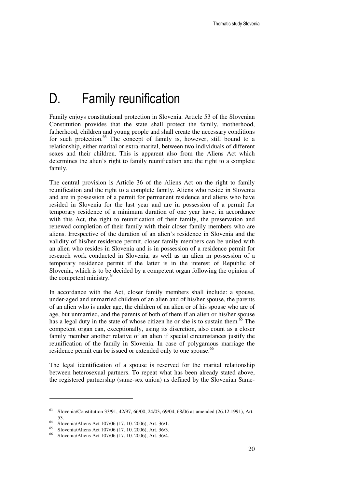## D. Family reunification

Family enjoys constitutional protection in Slovenia. Article 53 of the Slovenian Constitution provides that the state shall protect the family, motherhood, fatherhood, children and young people and shall create the necessary conditions for such protection. $63$  The concept of family is, however, still bound to a relationship, either marital or extra-marital, between two individuals of different sexes and their children. This is apparent also from the Aliens Act which determines the alien's right to family reunification and the right to a complete family.

The central provision is Article 36 of the Aliens Act on the right to family reunification and the right to a complete family. Aliens who reside in Slovenia and are in possession of a permit for permanent residence and aliens who have resided in Slovenia for the last year and are in possession of a permit for temporary residence of a minimum duration of one year have, in accordance with this Act, the right to reunification of their family, the preservation and renewed completion of their family with their closer family members who are aliens. Irrespective of the duration of an alien's residence in Slovenia and the validity of his/her residence permit, closer family members can be united with an alien who resides in Slovenia and is in possession of a residence permit for research work conducted in Slovenia, as well as an alien in possession of a temporary residence permit if the latter is in the interest of Republic of Slovenia, which is to be decided by a competent organ following the opinion of the competent ministry.<sup>64</sup>

In accordance with the Act, closer family members shall include: a spouse, under-aged and unmarried children of an alien and of his/her spouse, the parents of an alien who is under age, the children of an alien or of his spouse who are of age, but unmarried, and the parents of both of them if an alien or his/her spouse has a legal duty in the state of whose citizen he or she is to sustain them. $65$  The competent organ can, exceptionally, using its discretion, also count as a closer family member another relative of an alien if special circumstances justify the reunification of the family in Slovenia. In case of polygamous marriage the residence permit can be issued or extended only to one spouse.<sup>66</sup>

The legal identification of a spouse is reserved for the marital relationship between heterosexual partners. To repeat what has been already stated above, the registered partnership (same-sex union) as defined by the Slovenian Same-

<sup>63</sup> Slovenia/Constitution 33/91, 42/97, 66/00, 24/03, 69/04, 68/06 as amended (26.12.1991), Art. 53.

<sup>&</sup>lt;sup>64</sup> Slovenia/Aliens Act 107/06 (17. 10. 2006), Art. 36/1.

<sup>&</sup>lt;sup>65</sup> Slovenia/Aliens Act 107/06 (17. 10. 2006), Art. 36/3.

<sup>66</sup> Slovenia/Aliens Act 107/06 (17. 10. 2006), Art. 36/4.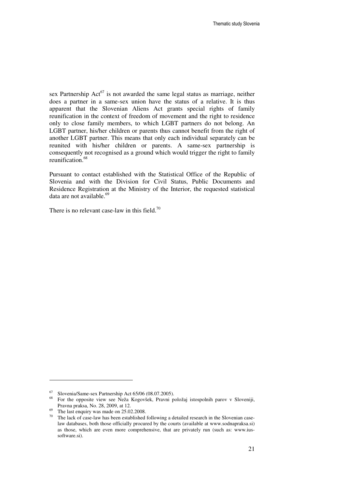sex Partnership  $Act^{67}$  is not awarded the same legal status as marriage, neither does a partner in a same-sex union have the status of a relative. It is thus apparent that the Slovenian Aliens Act grants special rights of family reunification in the context of freedom of movement and the right to residence only to close family members, to which LGBT partners do not belong. An LGBT partner, his/her children or parents thus cannot benefit from the right of another LGBT partner. This means that only each individual separately can be reunited with his/her children or parents. A same-sex partnership is consequently not recognised as a ground which would trigger the right to family reunification.<sup>68</sup>

Pursuant to contact established with the Statistical Office of the Republic of Slovenia and with the Division for Civil Status, Public Documents and Residence Registration at the Ministry of the Interior, the requested statistical data are not available.<sup>69</sup>

There is no relevant case-law in this field.<sup>70</sup>

 $^{67}$  Slovenia/Same-sex Partnership Act 65/06 (08.07.2005).

<sup>68</sup> For the opposite view see Neža Kogovšek, Pravni položaj istospolnih parov v Sloveniji, Pravna praksa, No. 28, 2009, at 12.

 $69$  The last enquiry was made on 25.02.2008.

<sup>&</sup>lt;sup>70</sup> The lack of case-law has been established following a detailed research in the Slovenian caselaw databases, both those officially procured by the courts (available at www.sodnapraksa.si) as those, which are even more comprehensive, that are privately run (such as: www.iussoftware.si).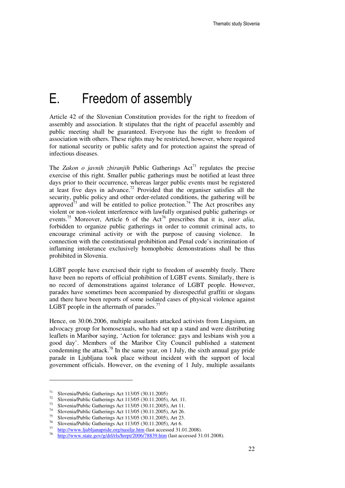### E. Freedom of assembly

Article 42 of the Slovenian Constitution provides for the right to freedom of assembly and association. It stipulates that the right of peaceful assembly and public meeting shall be guaranteed. Everyone has the right to freedom of association with others. These rights may be restricted, however, where required for national security or public safety and for protection against the spread of infectious diseases.

The *Zakon o javnih zbiranjih* Public Gatherings  $Act^{1}$  regulates the precise exercise of this right. Smaller public gatherings must be notified at least three days prior to their occurrence, whereas larger public events must be registered at least five days in advance.<sup>72</sup> Provided that the organiser satisfies all the security, public policy and other order-related conditions, the gathering will be approved $\tilde{d}^3$  and will be entitled to police protection.<sup>74</sup> The Act proscribes any violent or non-violent interference with lawfully organised public gatherings or events.<sup>75</sup> Moreover, Article 6 of the Act<sup>76</sup> prescribes that it is, *inter alia*, forbidden to organize public gatherings in order to commit criminal acts, to encourage criminal activity or with the purpose of causing violence. In connection with the constitutional prohibition and Penal code's incrimination of inflaming intolerance exclusively homophobic demonstrations shall be thus prohibited in Slovenia.

LGBT people have exercised their right to freedom of assembly freely. There have been no reports of official prohibition of LGBT events. Similarly, there is no record of demonstrations against tolerance of LGBT people. However, parades have sometimes been accompanied by disrespectful graffiti or slogans and there have been reports of some isolated cases of physical violence against LGBT people in the aftermath of parades. $^{77}$ 

Hence, on 30.06.2006, multiple assailants attacked activists from Lingsium, an advocacy group for homosexuals, who had set up a stand and were distributing leaflets in Maribor saying, 'Action for tolerance: gays and lesbians wish you a good day'. Members of the Maribor City Council published a statement condemning the attack.<sup>78</sup> In the same year, on 1 July, the sixth annual gay pride parade in Ljubljana took place without incident with the support of local government officials. However, on the evening of 1 July, multiple assailants

<sup>&</sup>lt;sup>71</sup> Slovenia/Public Gatherings Act 113/05 (30.11.2005)

<sup>&</sup>lt;sup>72</sup> Slovenia/Public Gatherings Act 113/05 (30.11.2005), Art. 11.

<sup>&</sup>lt;sup>73</sup> Slovenia/Public Gatherings Act 113/05 (30.11.2005), Art 11.<br><sup>74</sup> Slovenia/Public Gatherings Act 113/05 (20.11.2005), Art 26.

<sup>&</sup>lt;sup>74</sup> Slovenia/Public Gatherings Act 113/05 (30.11.2005), Art 26.<br><sup>75</sup> Slovenia/Public Gatherings Act 112/05 (20.11.2005), Art 22.

<sup>&</sup>lt;sup>75</sup> Slovenia/Public Gatherings Act 113/05 (30.11.2005), Art 23.

Slovenia/Public Gatherings Act 113/05 (30.11.2005), Art 6. 77

http://www.ljubljanapride.org/nasilje.htm (last accessed 31.01.2008).

<sup>78</sup> http://www.state.gov/g/drl/rls/hrrpt/2006/78839.htm (last accessed 31.01.2008).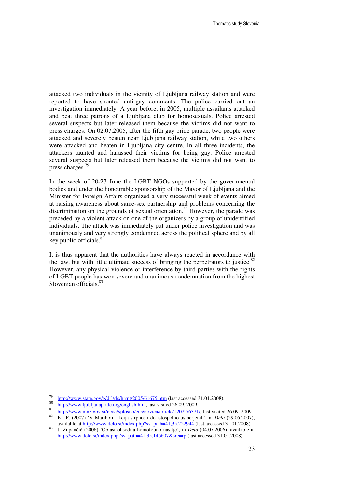attacked two individuals in the vicinity of Ljubljana railway station and were reported to have shouted anti-gay comments. The police carried out an investigation immediately. A year before, in 2005, multiple assailants attacked and beat three patrons of a Ljubljana club for homosexuals. Police arrested several suspects but later released them because the victims did not want to press charges. On 02.07.2005, after the fifth gay pride parade, two people were attacked and severely beaten near Ljubljana railway station, while two others were attacked and beaten in Ljubljana city centre. In all three incidents, the attackers taunted and harassed their victims for being gay. Police arrested several suspects but later released them because the victims did not want to press charges.<sup>79</sup>

In the week of 20-27 June the LGBT NGOs supported by the governmental bodies and under the honourable sponsorship of the Mayor of Ljubljana and the Minister for Foreign Affairs organized a very successful week of events aimed at raising awareness about same-sex partnership and problems concerning the discrimination on the grounds of sexual orientation.<sup>80</sup> However, the parade was preceded by a violent attack on one of the organizers by a group of unidentified individuals. The attack was immediately put under police investigation and was unanimously and very strongly condemned across the political sphere and by all key public officials. $81$ 

It is thus apparent that the authorities have always reacted in accordance with the law, but with little ultimate success of bringing the perpetrators to justice. $82$ However, any physical violence or interference by third parties with the rights of LGBT people has won severe and unanimous condemnation from the highest Slovenian officials.<sup>83</sup>

<sup>79</sup> http://www.state.gov/g/drl/rls/hrrpt/2005/61675.htm (last accessed 31.01.2008). 80

http://www.ljubljanapride.org/english.htm, last visited 26.09. 2009.

<sup>81</sup> <sup>81</sup> http://www.mnz.gov.si/nc/si/splosno/cns/novica/article/12027/6371/, last visited 26.09. 2009.<br><sup>82</sup> KL E (2007) <sup>5</sup>V Mariboru akcija stranosti do istogralno usmarianih' in: Delo (20.06.2007)

<sup>82</sup> Kl. F. (2007) 'V Mariboru akcija strpnosti do istospolno usmerjenih' in: *Delo* (29.06.2007), available at http://www.delo.si/index.php?sv\_path=41,35,222944 (last accessed 31.01.2008).

<sup>83</sup> J. Zupančič (2006) 'Oblast obsodila homofobno nasilje', in *Delo* (04.07.2006), available at http://www.delo.si/index.php?sv\_path=41,35,146607&src=rp (last accessed 31.01.2008).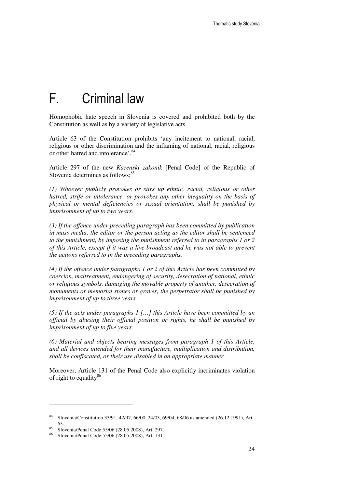### F. Criminal law

Homophobic hate speech in Slovenia is covered and prohibited both by the Constitution as well as by a variety of legislative acts.

Article 63 of the Constitution prohibits 'any incitement to national, racial, religious or other discrimination and the inflaming of national, racial, religious or other hatred and intolerance'.<sup>84</sup>

Article 297 of the new *Kazenski zakonik* [Penal Code] of the Republic of Slovenia determines as follows: $85$ 

*(1) Whoever publicly provokes or stirs up ethnic, racial, religious or other hatred, strife or intolerance, or provokes any other inequality on the basis of physical or mental deficiencies or sexual orientation, shall be punished by imprisonment of up to two years.* 

*(3) If the offence under preceding paragraph has been committed by publication in mass media, the editor or the person acting as the editor shall be sentenced to the punishment, by imposing the punishment referred to in paragraphs 1 or 2 of this Article, except if it was a live broadcast and he was not able to prevent the actions referred to in the preceding paragraphs.* 

*(4) If the offence under paragraphs 1 or 2 of this Article has been committed by coercion, maltreatment, endangering of security, desecration of national, ethnic or religious symbols, damaging the movable property of another, desecration of monuments or memorial stones or graves, the perpetrator shall be punished by imprisonment of up to three years.* 

*(5) If the acts under paragraphs 1 […] this Article have been committed by an official by abusing their official position or rights, he shall be punished by imprisonment of up to five years.* 

*(6) Material and objects bearing messages from paragraph 1 of this Article, and all devices intended for their manufacture, multiplication and distribution, shall be confiscated, or their use disabled in an appropriate manner.* 

Moreover, Article 131 of the Penal Code also explicitly incriminates violation of right to equality $^{86}$ 

<sup>84</sup> Slovenia/Constitution 33/91, 42/97, 66/00, 24/03, 69/04, 68/06 as amended (26.12.1991), Art. 63.

 $\frac{85}{85}$  Slovenia/Penal Code 55/06 (28.05.2008), Art. 297.

<sup>86</sup> Slovenia/Penal Code 55/06 (28.05.2008), Art. 131.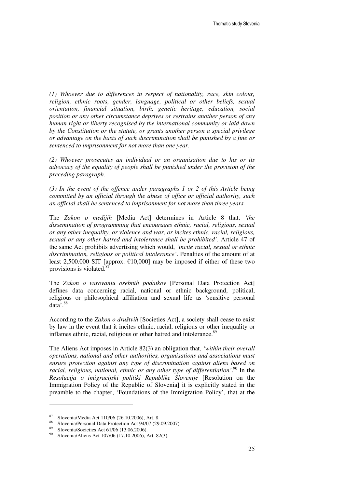*(1) Whoever due to differences in respect of nationality, race, skin colour, religion, ethnic roots, gender, language, political or other beliefs, sexual orientation, financial situation, birth, genetic heritage, education, social position or any other circumstance deprives or restrains another person of any human right or liberty recognised by the international community or laid down by the Constitution or the statute, or grants another person a special privilege or advantage on the basis of such discrimination shall be punished by a fine or sentenced to imprisonment for not more than one year.* 

*(2) Whoever prosecutes an individual or an organisation due to his or its advocacy of the equality of people shall be punished under the provision of the preceding paragraph.* 

*(3) In the event of the offence under paragraphs 1 or 2 of this Article being committed by an official through the abuse of office or official authority, such an official shall be sentenced to imprisonment for not more than three years.* 

The *Zakon o medijih* [Media Act] determines in Article 8 that, *'the dissemination of programming that encourages ethnic, racial, religious, sexual or any other inequality, or violence and war, or incites ethnic, racial, religious, sexual or any other hatred and intolerance shall be prohibited'*. Article 47 of the same Act prohibits advertising which would, *'incite racial, sexual or ethnic discrimination, religious or political intolerance'*. Penalties of the amount of at least 2,500.000 SIT [approx.  $\epsilon$ 10,000] may be imposed if either of these two provisions is violated.<sup>8</sup>

The *Zakon o varovanju osebnih podatkov* [Personal Data Protection Act] defines data concerning racial, national or ethnic background, political, religious or philosophical affiliation and sexual life as 'sensitive personal data'.<sup>88</sup>

According to the *Zakon o društvih* [Societies Act], a society shall cease to exist by law in the event that it incites ethnic, racial, religious or other inequality or inflames ethnic, racial, religious or other hatred and intolerance.<sup>89</sup>

The Aliens Act imposes in Article 82(3) an obligation that, *'within their overall operations, national and other authorities, organisations and associations must ensure protection against any type of discrimination against aliens based on*  racial, religious, national, ethnic or any other type of differentiation<sup>',90</sup> In the *Resolucija o imigracijski politiki Republike Slovenije* [Resolution on the Immigration Policy of the Republic of Slovenia] it is explicitly stated in the preamble to the chapter, 'Foundations of the Immigration Policy', that at the

<sup>&</sup>lt;sup>87</sup> Slovenia/Media Act 110/06 (26.10.2006), Art. 8.

Slovenia/Personal Data Protection Act 94/07 (29.09.2007)

<sup>&</sup>lt;sup>89</sup> Slovenia/Societies Act 61/06 (13.06.2006).<br><sup>90</sup> Slovenia/Aliana Act 107/06 (17.10.2006).

Slovenia/Aliens Act 107/06 (17.10.2006), Art. 82(3).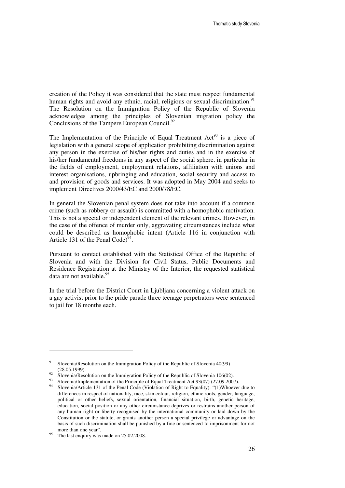creation of the Policy it was considered that the state must respect fundamental human rights and avoid any ethnic, racial, religious or sexual discrimination.<sup>91</sup> The Resolution on the Immigration Policy of the Republic of Slovenia acknowledges among the principles of Slovenian migration policy the Conclusions of the Tampere European Council.<sup>92</sup>

The Implementation of the Principle of Equal Treatment  $Act^{93}$  is a piece of legislation with a general scope of application prohibiting discrimination against any person in the exercise of his/her rights and duties and in the exercise of his/her fundamental freedoms in any aspect of the social sphere, in particular in the fields of employment, employment relations, affiliation with unions and interest organisations, upbringing and education, social security and access to and provision of goods and services. It was adopted in May 2004 and seeks to implement Directives 2000/43/EC and 2000/78/EC.

In general the Slovenian penal system does not take into account if a common crime (such as robbery or assault) is committed with a homophobic motivation. This is not a special or independent element of the relevant crimes. However, in the case of the offence of murder only, aggravating circumstances include what could be described as homophobic intent (Article 116 in conjunction with Article 131 of the Penal Code) $^{94}$ .

Pursuant to contact established with the Statistical Office of the Republic of Slovenia and with the Division for Civil Status, Public Documents and Residence Registration at the Ministry of the Interior, the requested statistical data are not available.<sup>95</sup>

In the trial before the District Court in Ljubljana concerning a violent attack on a gay activist prior to the pride parade three teenage perpetrators were sentenced to jail for 18 months each.

<sup>&</sup>lt;sup>91</sup> Slovenia/Resolution on the Immigration Policy of the Republic of Slovenia 40(99) (28.05.1999).

<sup>&</sup>lt;sup>92</sup> Slovenia/Resolution on the Immigration Policy of the Republic of Slovenia 106(02).

<sup>&</sup>lt;sup>93</sup> Slovenia/Implementation of the Principle of Equal Treatment Act 93(07) (27.09.2007).

Slovenia/Article 131 of the Penal Code (Violation of Right to Equality): "(1)Whoever due to differences in respect of nationality, race, skin colour, religion, ethnic roots, gender, language, political or other beliefs, sexual orientation, financial situation, birth, genetic heritage, education, social position or any other circumstance deprives or restrains another person of any human right or liberty recognised by the international community or laid down by the Constitution or the statute, or grants another person a special privilege or advantage on the basis of such discrimination shall be punished by a fine or sentenced to imprisonment for not more than one year".

 $^{95}$  The last enquiry was made on 25.02.2008.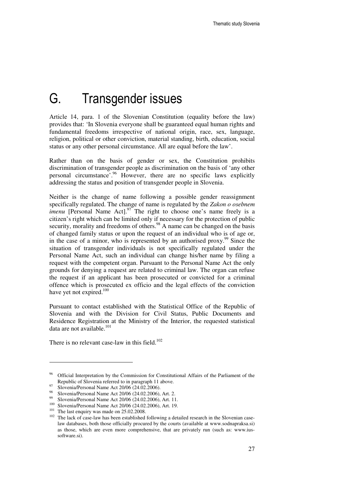## G. Transgender issues

Article 14, para. 1 of the Slovenian Constitution (equality before the law) provides that: 'In Slovenia everyone shall be guaranteed equal human rights and fundamental freedoms irrespective of national origin, race, sex, language, religion, political or other conviction, material standing, birth, education, social status or any other personal circumstance. All are equal before the law'.

Rather than on the basis of gender or sex, the Constitution prohibits discrimination of transgender people as discrimination on the basis of 'any other personal circumstance'.<sup>96</sup> However, there are no specific laws explicitly addressing the status and position of transgender people in Slovenia.

Neither is the change of name following a possible gender reassignment specifically regulated. The change of name is regulated by the *Zakon o osebnem imenu* [Personal Name Act].<sup>97</sup> The right to choose one's name freely is a citizen's right which can be limited only if necessary for the protection of public security, morality and freedoms of others.<sup>98</sup> A name can be changed on the basis of changed family status or upon the request of an individual who is of age or, in the case of a minor, who is represented by an authorised proxy.<sup>99</sup> Since the situation of transgender individuals is not specifically regulated under the Personal Name Act, such an individual can change his/her name by filing a request with the competent organ. Pursuant to the Personal Name Act the only grounds for denying a request are related to criminal law. The organ can refuse the request if an applicant has been prosecuted or convicted for a criminal offence which is prosecuted ex officio and the legal effects of the conviction have yet not expired.<sup>100</sup>

Pursuant to contact established with the Statistical Office of the Republic of Slovenia and with the Division for Civil Status, Public Documents and Residence Registration at the Ministry of the Interior, the requested statistical data are not available.<sup>101</sup>

There is no relevant case-law in this field. $102$ 

<sup>96</sup> Official Interpretation by the Commission for Constitutional Affairs of the Parliament of the Republic of Slovenia referred to in paragraph 11 above.

 $^{97}$  Slovenia/Personal Name Act 20/06 (24.02.2006).

<sup>98</sup> Slovenia/Personal Name Act 20/06 (24.02.2006), Art. 2.

Slovenia/Personal Name Act 20/06 (24.02.2006), Art. 11.

<sup>100</sup> Slovenia/Personal Name Act 20/06 (24.02.2006), Art. 19.

 $101$  The last enquiry was made on 25.02.2008.

 $102$  The lack of case-law has been established following a detailed research in the Slovenian caselaw databases, both those officially procured by the courts (available at www.sodnapraksa.si) as those, which are even more comprehensive, that are privately run (such as: www.iussoftware.si).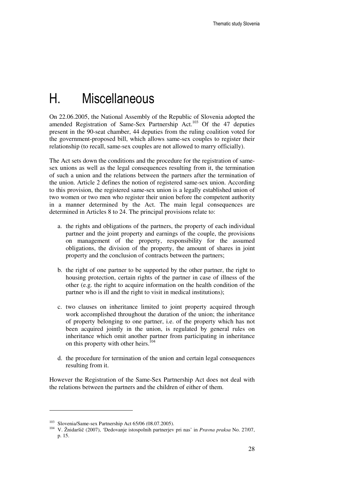## H. Miscellaneous

On 22.06.2005, the National Assembly of the Republic of Slovenia adopted the amended Registration of Same-Sex Partnership Act.<sup>103</sup> Of the 47 deputies present in the 90-seat chamber, 44 deputies from the ruling coalition voted for the government-proposed bill, which allows same-sex couples to register their relationship (to recall, same-sex couples are not allowed to marry officially).

The Act sets down the conditions and the procedure for the registration of samesex unions as well as the legal consequences resulting from it, the termination of such a union and the relations between the partners after the termination of the union. Article 2 defines the notion of registered same-sex union. According to this provision, the registered same-sex union is a legally established union of two women or two men who register their union before the competent authority in a manner determined by the Act. The main legal consequences are determined in Articles 8 to 24. The principal provisions relate to:

- a. the rights and obligations of the partners, the property of each individual partner and the joint property and earnings of the couple, the provisions on management of the property, responsibility for the assumed obligations, the division of the property, the amount of shares in joint property and the conclusion of contracts between the partners;
- b. the right of one partner to be supported by the other partner, the right to housing protection, certain rights of the partner in case of illness of the other (e.g. the right to acquire information on the health condition of the partner who is ill and the right to visit in medical institutions);
- c. two clauses on inheritance limited to joint property acquired through work accomplished throughout the duration of the union; the inheritance of property belonging to one partner, i.e. of the property which has not been acquired jointly in the union, is regulated by general rules on inheritance which omit another partner from participating in inheritance on this property with other heirs.<sup>104</sup>
- d. the procedure for termination of the union and certain legal consequences resulting from it.

However the Registration of the Same-Sex Partnership Act does not deal with the relations between the partners and the children of either of them.

<sup>103</sup> Slovenia/Same-sex Partnership Act 65/06 (08.07.2005).

<sup>104</sup> V. Žnidaršič (2007), 'Dedovanje istospolnih partnerjev pri nas' in *Pravna praksa* No. 27/07, p. 15.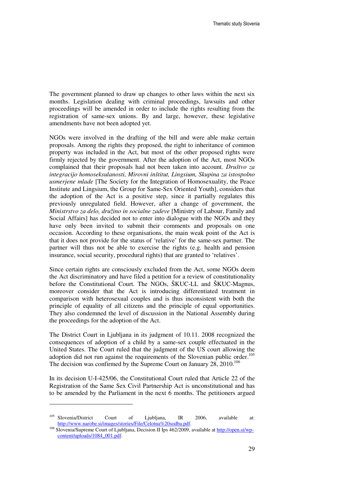The government planned to draw up changes to other laws within the next six months. Legislation dealing with criminal proceedings, lawsuits and other proceedings will be amended in order to include the rights resulting from the registration of same-sex unions. By and large, however, these legislative amendments have not been adopted yet.

NGOs were involved in the drafting of the bill and were able make certain proposals. Among the rights they proposed, the right to inheritance of common property was included in the Act, but most of the other proposed rights were firmly rejected by the government. After the adoption of the Act, most NGOs complained that their proposals had not been taken into account. *Društvo za integracijo homoseksulanosti, Mirovni inštitut, Lingsium, Skupina za istospolno usmerjene mlade* [The Society for the Integration of Homosexuality, the Peace Institute and Lingsium, the Group for Same-Sex Oriented Youth], considers that the adoption of the Act is a positive step, since it partially regulates this previously unregulated field. However, after a change of government, the *Ministrstvo za delo, družino in socialne zadeve* [Ministry of Labour, Family and Social Affairs] has decided not to enter into dialogue with the NGOs and they have only been invited to submit their comments and proposals on one occasion. According to these organisations, the main weak point of the Act is that it does not provide for the status of 'relative' for the same-sex partner. The partner will thus not be able to exercise the rights (e.g. health and pension insurance, social security, procedural rights) that are granted to 'relatives'.

Since certain rights are consciously excluded from the Act, some NGOs deem the Act discriminatory and have filed a petition for a review of constitutionality before the Constitutional Court. The NGOs, ŠKUC-LL and ŠKUC-Magnus, moreover consider that the Act is introducing differentiated treatment in comparison with heterosexual couples and is thus inconsistent with both the principle of equality of all citizens and the principle of equal opportunities. They also condemned the level of discussion in the National Assembly during the proceedings for the adoption of the Act.

The District Court in Ljubljana in its judgment of 10.11. 2008 recognized the consequences of adoption of a child by a same-sex couple effectuated in the United States. The Court ruled that the judgment of the US court allowing the adoption did not run against the requirements of the Slovenian public order.<sup>105</sup> The decision was confirmed by the Supreme Court on January  $28$ ,  $2010$ .<sup>106</sup>

In its decision U-I-425/06, the Constitutional Court ruled that Article 22 of the Registration of the Same Sex Civil Partnership Act is unconstitutional and has to be amended by the Parliament in the next 6 months. The petitioners argued

<sup>105</sup> Slovenia/District Court of Ljubljana, IR 2006, available at: http://www.narobe.si/images/stories/File/Celotna%20sodba.pdf.

<sup>106</sup> Slovenia/Supreme Court of Ljubljana, Decision II Ips 462/2009, available at http://open.si/wpcontent/uploads/1084\_001.pdf.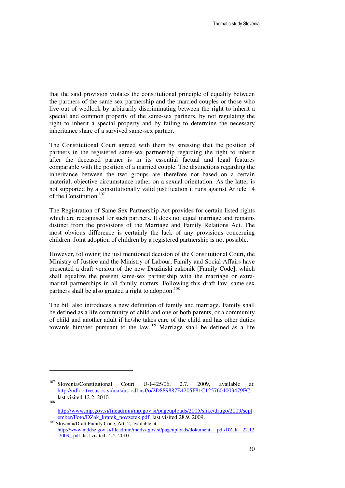that the said provision violates the constitutional principle of equality between the partners of the same-sex partnership and the married couples or those who live out of wedlock by arbitrarily discriminating between the right to inherit a special and common property of the same-sex partners, by not regulating the right to inherit a special property and by failing to determine the necessary inheritance share of a survived same-sex partner.

The Constitutional Court agreed with them by stressing that the position of partners in the registered same-sex partnership regarding the right to inherit after the deceased partner is in its essential factual and legal features comparable with the position of a married couple. The distinctions regarding the inheritance between the two groups are therefore not based on a certain material, objective circumstance rather on a sexual-orientation. As the latter is not supported by a constitutionally valid justification it runs against Article 14 of the Constitution.<sup>107</sup>

The Registration of Same-Sex Partnership Act provides for certain listed rights which are recognised for such partners. It does not equal marriage and remains distinct from the provisions of the Marriage and Family Relations Act. The most obvious difference is certainly the lack of any provisions concerning children. Joint adoption of children by a registered partnership is not possible.

However, following the just mentioned decision of the Constitutional Court, the Ministry of Justice and the Ministry of Labour, Family and Social Affairs have presented a draft version of the new Družinski zakonik [Family Code], which shall equalize the present same-sex partnership with the marriage or extramarital partnerships in all family matters. Following this draft law, same-sex partners shall be also granted a right to adoption.<sup>108</sup>

The bill also introduces a new definition of family and marriage. Family shall be defined as a life community of child and one or both parents, or a community of child and another adult if he/she takes care of the child and has other duties towards him/her pursuant to the law.<sup>109</sup> Marriage shall be defined as a life

<sup>107</sup> Slovenia/Constitutional Court U-I-425/06, 2.7. 2009, available at: http://odlocitve.us-rs.si/usrs/us-odl.nsf/o/2D889887E4205F81C1257604003479FC, last visited 12.2. 2010.

<sup>108</sup>

http://www.mp.gov.si/fileadmin/mp.gov.si/pageuploads/2005/slike/drugo/2009/sept ember/Foto/DZak\_kratek\_povzetek.pdf, last visited 28.9. 2009.

<sup>109</sup> Slovenia/Draft Family Code, Art. 2, available at: http://www.mddsz.gov.si/fileadmin/mddsz.gov.si/pageuploads/dokumenti\_\_pdf/DZak\_\_22.12 .2009\_.pdf, last visited 12.2. 2010.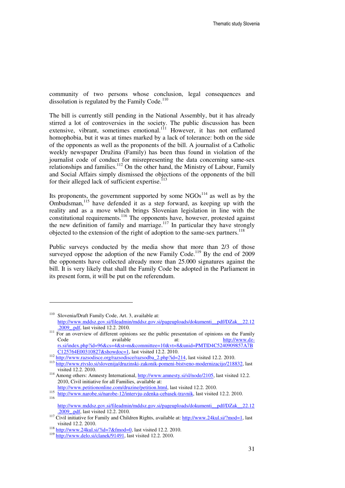community of two persons whose conclusion, legal consequences and dissolution is regulated by the Family Code. $110$ 

The bill is currently still pending in the National Assembly, but it has already stirred a lot of controversies in the society. The public discussion has been extensive, vibrant, sometimes emotional.<sup>111</sup> However, it has not enflamed homophobia, but it was at times marked by a lack of tolerance: both on the side of the opponents as well as the proponents of the bill. A journalist of a Catholic weekly newspaper Družina (Family) has been thus found in violation of the journalist code of conduct for misrepresenting the data concerning same-sex relationships and families.<sup>112</sup> On the other hand, the Ministry of Labour, Family and Social Affairs simply dismissed the objections of the opponents of the bill for their alleged lack of sufficient expertise. $^{113}$ 

Its proponents, the government supported by some  $NGOs<sup>114</sup>$  as well as by the Ombudsman,<sup>115</sup> have defended it as a step forward, as keeping up with the reality and as a move which brings Slovenian legislation in line with the constitutional requirements.<sup>116</sup> The opponents have, however, protested against the new definition of family and marriage.<sup>117</sup> In particular they have strongly objected to the extension of the right of adoption to the same-sex partners.<sup>118</sup>

Public surveys conducted by the media show that more than 2/3 of those surveyed oppose the adoption of the new Family Code. $^{119}$  By the end of 2009 the opponents have collected already more than 25.000 signatures against the bill. It is very likely that shall the Family Code be adopted in the Parliament in its present form, it will be put on the referendum.

<sup>110</sup> Slovenia/Draft Family Code, Art. 3, available at: http://www.mddsz.gov.si/fileadmin/mddsz.gov.si/pageuploads/dokumenti\_\_pdf/DZak\_\_22.12 .2009\_.pdf, last visited 12.2. 2010.

<sup>&</sup>lt;sup>111</sup> For an overview of different opinions see the public presentation of opinions on the Family Code available available at: http://www.dzrs.si/index.php?id=96&cs=4&st=m&committee=10&vt=8&unid=PMT|D4C5240909857A7B C125764E00310827&showdoc=1, last visited 12.2. 2010.

<sup>112</sup> http://www.razsodisce.org/razsodisce/razsodba\_2.php?id=214, last visited 12.2. 2010.

<sup>113</sup> http://www.rtvslo.si/slovenija/druzinski-zakonik-pomeni-bistveno-modernizacijo/218832, last visited 12.2. 2010.

<sup>&</sup>lt;sup>114</sup> Among others: Amnesty International, http://www.amnesty.si/sl/node/2105, last visited 12.2. 2010, Civil initiative for all Families, available at:

http://www.petitiononline.com/druzine/petition.html, last visited 12.2. 2010. 115

http://www.narobe.si/narobe-12/intervju-zdenka-cebasek-travnik, last visited 12.2. 2010. 116

http://www.mddsz.gov.si/fileadmin/mddsz.gov.si/pageuploads/dokumenti\_\_pdf/DZak\_\_22.12 .2009\_.pdf, last visited 12.2. 2010.

<sup>&</sup>lt;sup>117</sup> Civil initiative for Family and Children Rights, available at: http://www.24kul.si/?mod=1, last visited 12.2. 2010.

<sup>&</sup>lt;sup>118</sup> http://www.24kul.si/?id=7&fmod=0, last visited 12.2. 2010.

<sup>119</sup> http://www.delo.si/clanek/91491, last visited 12.2. 2010.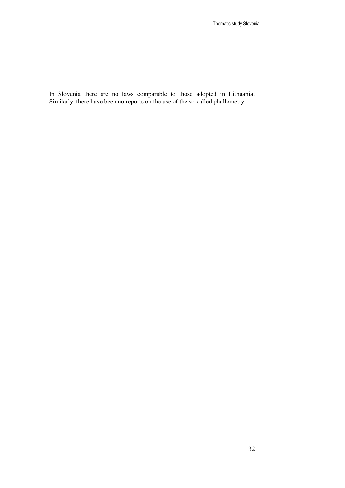In Slovenia there are no laws comparable to those adopted in Lithuania. Similarly, there have been no reports on the use of the so-called phallometry.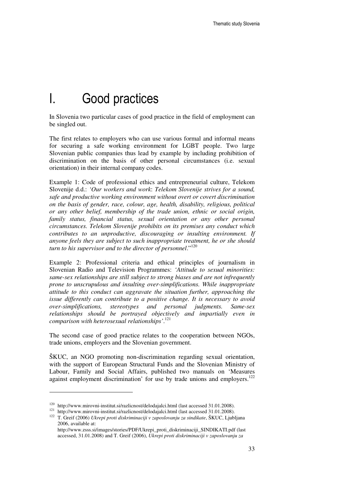## I. Good practices

In Slovenia two particular cases of good practice in the field of employment can be singled out.

The first relates to employers who can use various formal and informal means for securing a safe working environment for LGBT people. Two large Slovenian public companies thus lead by example by including prohibition of discrimination on the basis of other personal circumstances (i.e. sexual orientation) in their internal company codes.

Example 1: Code of professional ethics and entrepreneurial culture, Telekom Slovenije d.d.: *'Our workers and work*: *Telekom Slovenije strives for a sound, safe and productive working environment without overt or covert discrimination on the basis of gender, race, colour, age, health, disability, religious, political or any other belief, membership of the trade union, ethnic or social origin, family status, financial status, sexual orientation or any other personal circumstances. Telekom Slovenije prohibits on its premises any conduct which contributes to an unproductive, discouraging or insulting environment. If anyone feels they are subject to such inappropriate treatment, he or she should turn to his supervisor and to the director of personnel*."<sup>120</sup>

Example 2: Professional criteria and ethical principles of journalism in Slovenian Radio and Television Programmes: *'Attitude to sexual minorities: same-sex relationships are still subject to strong biases and are not infrequently prone to unscrupulous and insulting over-simplifications. While inappropriate attitude to this conduct can aggravate the situation further, approaching the issue differently can contribute to a positive change. It is necessary to avoid over-simplifications, stereotypes and personal judgments. Same-sex relationships should be portrayed objectively and impartially even in comparison with heterosexual relationships'*. 121

The second case of good practice relates to the cooperation between NGOs, trade unions, employers and the Slovenian government.

ŠKUC, an NGO promoting non-discrimination regarding sexual orientation, with the support of European Structural Funds and the Slovenian Ministry of Labour, Family and Social Affairs, published two manuals on 'Measures against employment discrimination' for use by trade unions and employers.<sup>122</sup>

<sup>120</sup> http://www.mirovni-institut.si/razlicnost/delodajalci.html (last accessed 31.01.2008).

<sup>&</sup>lt;sup>121</sup> http://www.mirovni-institut.si/razlicnost/delodajalci.html (last accessed 31.01.2008).

<sup>122</sup> T. Greif (2006) *Ukrepi proti diskriminaciji v zaposlovanju za sindikate*, ŠKUC, Ljubljana 2006, available at:

http://www.zsss.si/images/stories/PDF/Ukrepi\_proti\_diskriminaciji\_SINDIKATI.pdf (last accessed, 31.01.2008) and T. Greif (2006), *Ukrepi proti diskriminaciji v zaposlovanju za*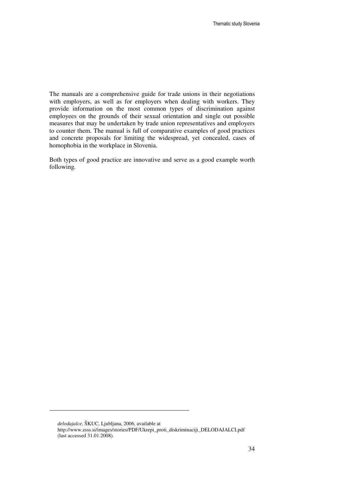The manuals are a comprehensive guide for trade unions in their negotiations with employers, as well as for employers when dealing with workers. They provide information on the most common types of discrimination against employees on the grounds of their sexual orientation and single out possible measures that may be undertaken by trade union representatives and employers to counter them. The manual is full of comparative examples of good practices and concrete proposals for limiting the widespread, yet concealed, cases of homophobia in the workplace in Slovenia.

Both types of good practice are innovative and serve as a good example worth following.

*delodajalce,* ŠKUC, Ljubljana, 2006, available at

-

http://www.zsss.si/images/stories/PDF/Ukrepi\_proti\_diskriminaciji\_DELODAJALCI.pdf (last accessed 31.01.2008).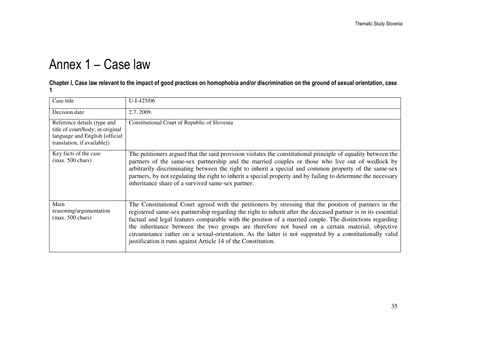# Annex 1 – Case law

### Chapter I, Case law relevant to the impact of good practices on homophobia and/or discrimination on the ground of sexual orientation, case 1

| Case title                                                                                                                       | $U-I-425/06$                                                                                                                                                                                                                                                                                                                                                                                                                                                                                                                                                                                                      |
|----------------------------------------------------------------------------------------------------------------------------------|-------------------------------------------------------------------------------------------------------------------------------------------------------------------------------------------------------------------------------------------------------------------------------------------------------------------------------------------------------------------------------------------------------------------------------------------------------------------------------------------------------------------------------------------------------------------------------------------------------------------|
| Decision date                                                                                                                    | 2.7.2009.                                                                                                                                                                                                                                                                                                                                                                                                                                                                                                                                                                                                         |
| Reference details (type and<br>title of court/body; in original<br>language and English [official<br>translation, if available]) | Constitutional Court of Republic of Slovenia                                                                                                                                                                                                                                                                                                                                                                                                                                                                                                                                                                      |
| Key facts of the case<br>$(max. 500 \text{ chars})$                                                                              | The petitioners argued that the said provision violates the constitutional principle of equality between the<br>partners of the same-sex partnership and the married couples or those who live out of wedlock by<br>arbitrarily discriminating between the right to inherit a special and common property of the same-sex<br>partners, by not regulating the right to inherit a special property and by failing to determine the necessary<br>inheritance share of a survived same-sex partner.                                                                                                                   |
| Main<br>reasoning/argumentation<br>$(max. 500 \text{ chars})$                                                                    | The Constitutional Court agreed with the petitioners by stressing that the position of partners in the<br>registered same-sex partnership regarding the right to inherit after the deceased partner is in its essential<br>factual and legal features comparable with the position of a married couple. The distinctions regarding<br>the inheritance between the two groups are therefore not based on a certain material, objective<br>circumstance rather on a sexual-orientation. As the latter is not supported by a constitutionally valid<br>justification it runs against Article 14 of the Constitution. |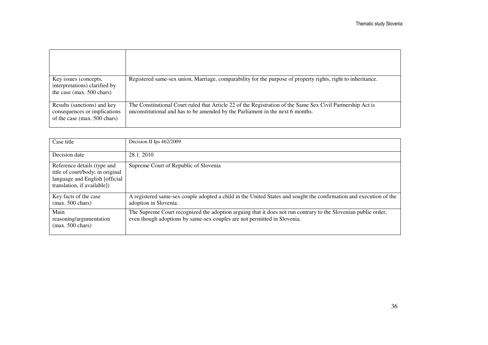| Key issues (concepts,<br>interpretations) clarified by<br>the case (max. 500 chars)         | Registered same-sex union, Marriage, comparability for the purpose of property rights, right to inheritance.                                                                                  |
|---------------------------------------------------------------------------------------------|-----------------------------------------------------------------------------------------------------------------------------------------------------------------------------------------------|
| Results (sanctions) and key<br>consequences or implications<br>of the case (max. 500 chars) | The Constitutional Court ruled that Article 22 of the Registration of the Same Sex Civil Partnership Act is<br>unconstitutional and has to be amended by the Parliament in the next 6 months. |

| Case title                                                                                                                        | Decision II Ips 462/2009                                                                                                                                                                   |
|-----------------------------------------------------------------------------------------------------------------------------------|--------------------------------------------------------------------------------------------------------------------------------------------------------------------------------------------|
| Decision date                                                                                                                     | 28.1.2010                                                                                                                                                                                  |
| Reference details (type and<br>title of court/body; in original<br>language and English [official]<br>translation, if available]) | Supreme Court of Republic of Slovenia                                                                                                                                                      |
| Key facts of the case<br>$(max. 500 \text{ chars})$                                                                               | A registered same-sex couple adopted a child in the United States and sought the confirmation and execution of the<br>adoption in Slovenia.                                                |
| Main<br>reasoning/argumentation<br>$(max. 500 \text{ chars})$                                                                     | The Supreme Court recognized the adoption arguing that it does not run contrary to the Slovenian public order,<br>even though adoptions by same-sex couples are not permitted in Slovenia. |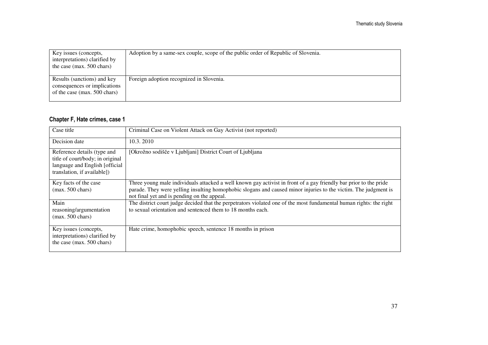| Key issues (concepts,<br>interpretations) clarified by<br>the case (max. $500$ chars)       | Adoption by a same-sex couple, scope of the public order of Republic of Slovenia. |
|---------------------------------------------------------------------------------------------|-----------------------------------------------------------------------------------|
| Results (sanctions) and key<br>consequences or implications<br>of the case (max. 500 chars) | Foreign adoption recognized in Slovenia.                                          |

#### Chapter F, Hate crimes, case 1

| Case title                                                                                                                                                                                                                                                                                                                                 | Criminal Case on Violent Attack on Gay Activist (not reported)                                                                                                                     |  |  |  |  |
|--------------------------------------------------------------------------------------------------------------------------------------------------------------------------------------------------------------------------------------------------------------------------------------------------------------------------------------------|------------------------------------------------------------------------------------------------------------------------------------------------------------------------------------|--|--|--|--|
| Decision date                                                                                                                                                                                                                                                                                                                              | 10.3.2010                                                                                                                                                                          |  |  |  |  |
| Reference details (type and<br>title of court/body; in original<br>language and English [official]<br>translation, if available])                                                                                                                                                                                                          | [Okrožno sodišče v Ljubljani] District Court of Ljubljana                                                                                                                          |  |  |  |  |
| Three young male individuals attacked a well known gay activist in front of a gay friendly bar prior to the pride<br>Key facts of the case<br>parade. They were yelling insulting homophobic slogans and caused minor injuries to the victim. The judgment is<br>$(max. 500 \text{ chars})$<br>not final yet and is pending on the appeal. |                                                                                                                                                                                    |  |  |  |  |
| Main<br>reasoning/argumentation<br>$(max. 500 \text{ chars})$                                                                                                                                                                                                                                                                              | The district court judge decided that the perpetrators violated one of the most fundamental human rights: the right<br>to sexual orientation and sentenced them to 18 months each. |  |  |  |  |
| Key issues (concepts,<br>interpretations) clarified by<br>the case (max. 500 chars)                                                                                                                                                                                                                                                        | Hate crime, homophobic speech, sentence 18 months in prison                                                                                                                        |  |  |  |  |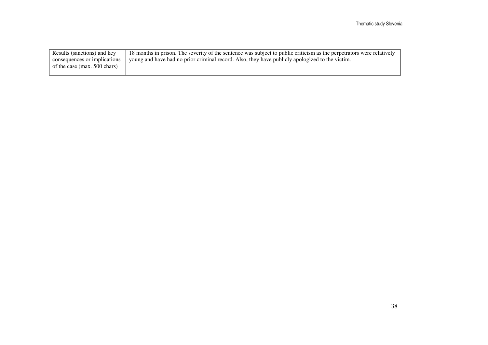| Results (sanctions) and key  | 18 months in prison. The severity of the sentence was subject to public criticism as the perpetrators were relatively |
|------------------------------|-----------------------------------------------------------------------------------------------------------------------|
| consequences or implications | young and have had no prior criminal record. Also, they have publicly apologized to the victim.                       |
| of the case (max. 500 chars) |                                                                                                                       |
|                              |                                                                                                                       |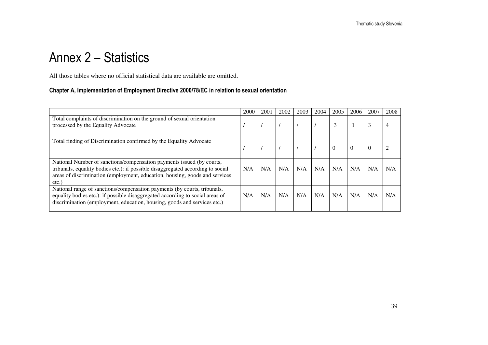# Annex 2 – Statistics

All those tables where no official statistical data are available are omitted.

#### Chapter A, Implementation of Employment Directive 2000/78/EC in relation to sexual orientation

|                                                                                                                                                                                                                                                     | 2000 | 2001 | 2002 | 2003 | 2004 | 2005           | 2006     | 2007     | 2008 |
|-----------------------------------------------------------------------------------------------------------------------------------------------------------------------------------------------------------------------------------------------------|------|------|------|------|------|----------------|----------|----------|------|
| Total complaints of discrimination on the ground of sexual orientation<br>processed by the Equality Advocate                                                                                                                                        |      |      |      |      |      | 3              |          | 3        |      |
| Total finding of Discrimination confirmed by the Equality Advocate                                                                                                                                                                                  |      |      |      |      |      | $\overline{0}$ | $\theta$ | $\theta$ |      |
| National Number of sanctions/compensation payments issued (by courts,<br>tribunals, equality bodies etc.): if possible disaggregated according to social<br>areas of discrimination (employment, education, housing, goods and services<br>$etc.$ ) | N/A  | N/A  | N/A  | N/A  | N/A  | N/A            | N/A      | N/A      | N/A  |
| National range of sanctions/compensation payments (by courts, tribunals,<br>equality bodies etc.): if possible disaggregated according to social areas of<br>discrimination (employment, education, housing, goods and services etc.)               | N/A  | N/A  | N/A  | N/A  | N/A  | N/A            | N/A      | N/A      | N/A  |